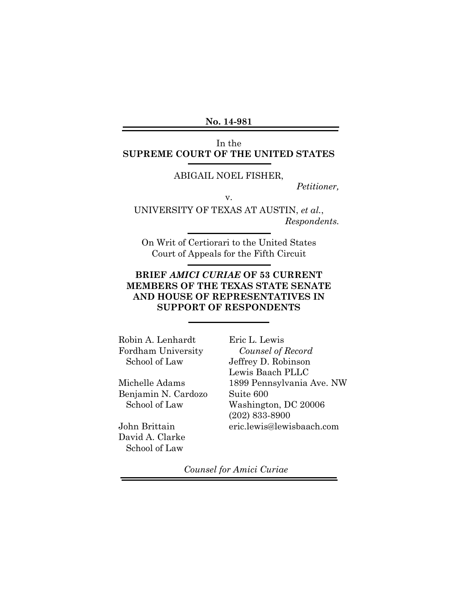**No. 14-981**

### In the **SUPREME COURT OF THE UNITED STATES**

#### ABIGAIL NOEL FISHER,

*Petitioner,*

v.

UNIVERSITY OF TEXAS AT AUSTIN, *et al.*, *Respondents.*

On Writ of Certiorari to the United States Court of Appeals for the Fifth Circuit

# **BRIEF** *AMICI CURIAE* **OF 53 CURRENT MEMBERS OF THE TEXAS STATE SENATE AND HOUSE OF REPRESENTATIVES IN SUPPORT OF RESPONDENTS**

Robin A. Lenhardt Fordham University School of Law

Michelle Adams Benjamin N. Cardozo School of Law

John Brittain David A. Clarke School of Law

Eric L. Lewis *Counsel of Record* Jeffrey D. Robinson Lewis Baach PLLC 1899 Pennsylvania Ave. NW Suite 600 Washington, DC 20006 (202) 833-8900 eric.lewis@lewisbaach.com

*Counsel for Amici Curiae*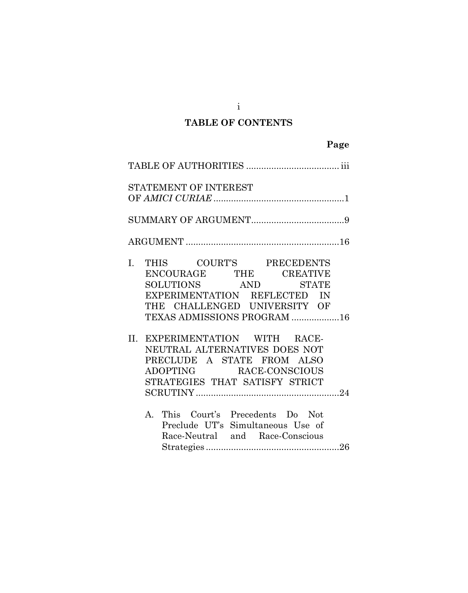# **TABLE OF CONTENTS**

|     | STATEMENT OF INTEREST                                                                                                                                                   |  |
|-----|-------------------------------------------------------------------------------------------------------------------------------------------------------------------------|--|
|     |                                                                                                                                                                         |  |
|     |                                                                                                                                                                         |  |
| I.  | THIS COURT'S PRECEDENTS<br>ENCOURAGE THE CREATIVE<br>SOLUTIONS AND STATE<br>EXPERIMENTATION REFLECTED IN<br>THE CHALLENGED UNIVERSITY OF<br>TEXAS ADMISSIONS PROGRAM 16 |  |
| II. | EXPERIMENTATION WITH RACE-<br>NEUTRAL ALTERNATIVES DOES NOT<br>PRECLUDE A STATE FROM ALSO<br>ADOPTING RACE-CONSCIOUS<br>STRATEGIES THAT SATISFY STRICT                  |  |
|     | This Court's Precedents Do Not<br>A.<br>Preclude UT's Simultaneous Use of<br>Race-Neutral and Race-Conscious                                                            |  |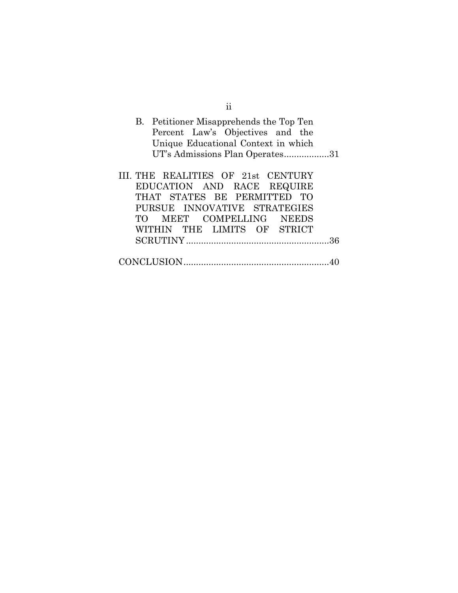| 11                                      |
|-----------------------------------------|
| B. Petitioner Misapprehends the Top Ten |
| Percent Law's Objectives and the        |
| Unique Educational Context in which     |
| UT's Admissions Plan Operates31         |
|                                         |
| III. THE REALITIES OF 21st CENTURY      |
| EDUCATION AND RACE REQUIRE              |
| THAT STATES BE PERMITTED TO             |
| PURSUE INNOVATIVE STRATEGIES            |
| TO MEET COMPELLING NEEDS                |
| WITHIN THE LIMITS OF STRICT             |
|                                         |
|                                         |
|                                         |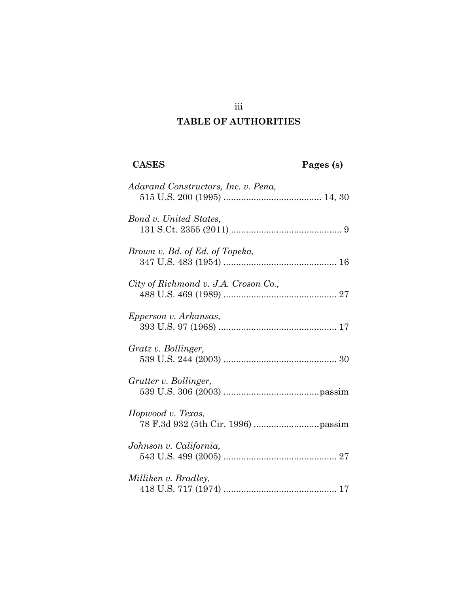# **TABLE OF AUTHORITIES**

| <b>CASES</b>                         | Pages (s) |
|--------------------------------------|-----------|
| Adarand Constructors, Inc. v. Pena,  |           |
| Bond v. United States,               |           |
| Brown v. Bd. of Ed. of Topeka,       |           |
| City of Richmond v. J.A. Croson Co., |           |
| Epperson v. Arkansas,                |           |
| Gratz v. Bollinger,                  |           |
| Grutter v. Bollinger,                |           |
| Hopwood v. Texas,                    |           |
| Johnson v. California,               |           |
| Milliken v. Bradley,                 |           |

iii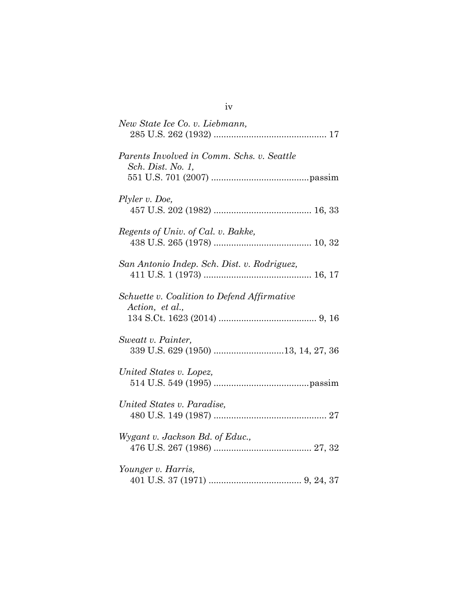| New State Ice Co. v. Liebmann,                                  |
|-----------------------------------------------------------------|
| Parents Involved in Comm. Schs. v. Seattle<br>Sch. Dist. No. 1, |
| Plyler v. Doe,                                                  |
| Regents of Univ. of Cal. v. Bakke,                              |
| San Antonio Indep. Sch. Dist. v. Rodriguez,                     |
| Schuette v. Coalition to Defend Affirmative<br>Action, et al.,  |
| Sweatt v. Painter,<br>339 U.S. 629 (1950) 13, 14, 27, 36        |
| United States v. Lopez,                                         |
| United States v. Paradise,                                      |
| Wygant v. Jackson Bd. of Educ.,                                 |
| Younger v. Harris,                                              |

iv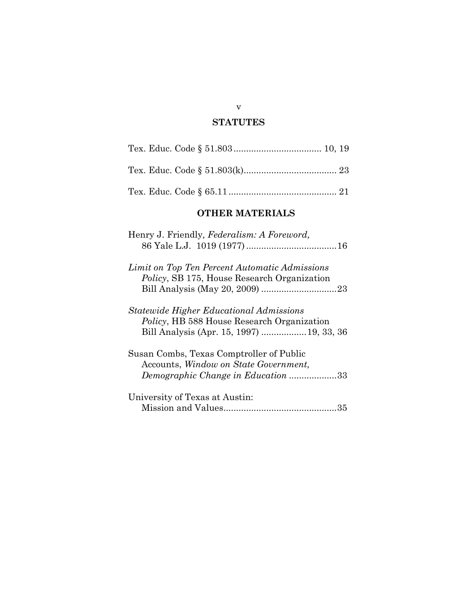# **STATUTES**

# **OTHER MATERIALS**

| Henry J. Friendly, Federalism: A Foreword,                                                                                                        |
|---------------------------------------------------------------------------------------------------------------------------------------------------|
| Limit on Top Ten Percent Automatic Admissions<br><i>Policy</i> , SB 175, House Research Organization                                              |
| <i>Statewide Higher Educational Admissions</i><br><i>Policy</i> , HB 588 House Research Organization<br>Bill Analysis (Apr. 15, 1997)  19, 33, 36 |
| Susan Combs, Texas Comptroller of Public<br>Accounts, Window on State Government,<br>Demographic Change in Education 33                           |
| University of Texas at Austin:                                                                                                                    |

#### v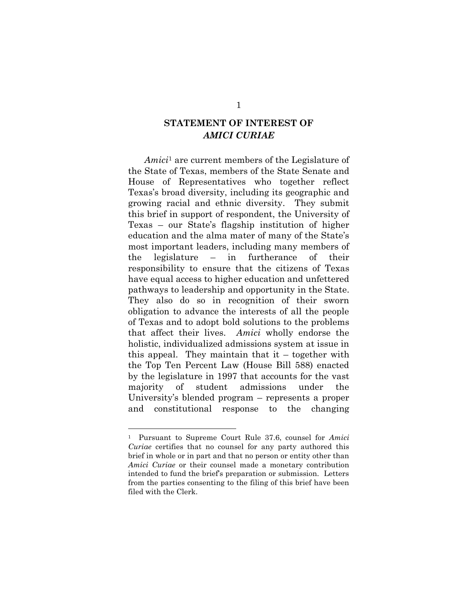# **STATEMENT OF INTEREST OF**  *AMICI CURIAE*

*Amici*<sup>1</sup> are current members of the Legislature of the State of Texas, members of the State Senate and House of Representatives who together reflect Texas's broad diversity, including its geographic and growing racial and ethnic diversity. They submit this brief in support of respondent, the University of Texas – our State's flagship institution of higher education and the alma mater of many of the State's most important leaders, including many members of the legislature – in furtherance of their responsibility to ensure that the citizens of Texas have equal access to higher education and unfettered pathways to leadership and opportunity in the State. They also do so in recognition of their sworn obligation to advance the interests of all the people of Texas and to adopt bold solutions to the problems that affect their lives. *Amici* wholly endorse the holistic, individualized admissions system at issue in this appeal. They maintain that it – together with the Top Ten Percent Law (House Bill 588) enacted by the legislature in 1997 that accounts for the vast majority of student admissions under the University's blended program – represents a proper and constitutional response to the changing

1

<sup>1</sup> Pursuant to Supreme Court Rule 37.6, counsel for *Amici Curiae* certifies that no counsel for any party authored this brief in whole or in part and that no person or entity other than *Amici Curiae* or their counsel made a monetary contribution intended to fund the brief's preparation or submission. Letters from the parties consenting to the filing of this brief have been filed with the Clerk.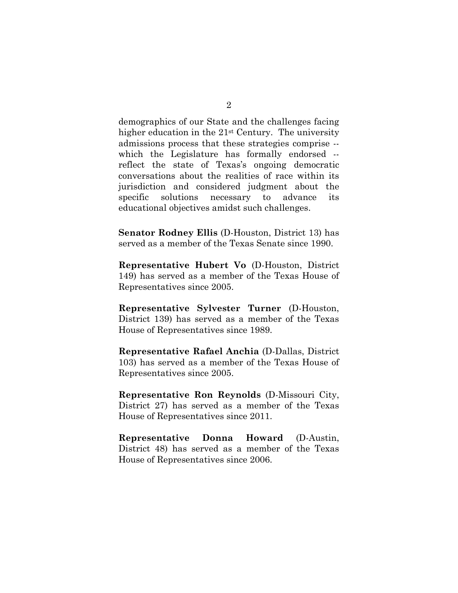demographics of our State and the challenges facing higher education in the 21st Century. The university admissions process that these strategies comprise - which the Legislature has formally endorsed -reflect the state of Texas's ongoing democratic conversations about the realities of race within its jurisdiction and considered judgment about the specific solutions necessary to advance its educational objectives amidst such challenges.

**Senator Rodney Ellis** (D-Houston, District 13) has served as a member of the Texas Senate since 1990.

**Representative Hubert Vo** (D-Houston, District 149) has served as a member of the Texas House of Representatives since 2005.

**Representative Sylvester Turner** (D-Houston, District 139) has served as a member of the Texas House of Representatives since 1989.

**Representative Rafael Anchia** (D-Dallas, District 103) has served as a member of the Texas House of Representatives since 2005.

**Representative Ron Reynolds** (D-Missouri City, District 27) has served as a member of the Texas House of Representatives since 2011.

**Representative Donna Howard** (D-Austin, District 48) has served as a member of the Texas House of Representatives since 2006.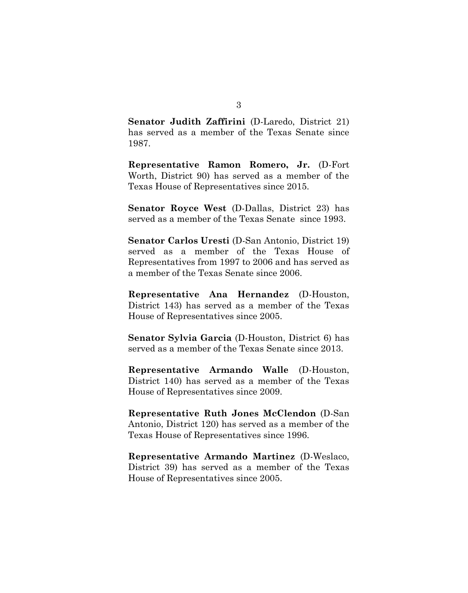**Senator Judith Zaffirini** (D-Laredo, District 21) has served as a member of the Texas Senate since 1987.

**Representative Ramon Romero, Jr.** (D-Fort Worth, District 90) has served as a member of the Texas House of Representatives since 2015.

**Senator Royce West** (D-Dallas, District 23) has served as a member of the Texas Senate since 1993.

**Senator Carlos Uresti** (D-San Antonio, District 19) served as a member of the Texas House of Representatives from 1997 to 2006 and has served as a member of the Texas Senate since 2006.

**Representative Ana Hernandez** (D-Houston, District 143) has served as a member of the Texas House of Representatives since 2005.

**Senator Sylvia Garcia** (D-Houston, District 6) has served as a member of the Texas Senate since 2013.

**Representative Armando Walle** (D-Houston, District 140) has served as a member of the Texas House of Representatives since 2009.

**Representative Ruth Jones McClendon** (D-San Antonio, District 120) has served as a member of the Texas House of Representatives since 1996.

**Representative Armando Martinez** (D-Weslaco, District 39) has served as a member of the Texas House of Representatives since 2005.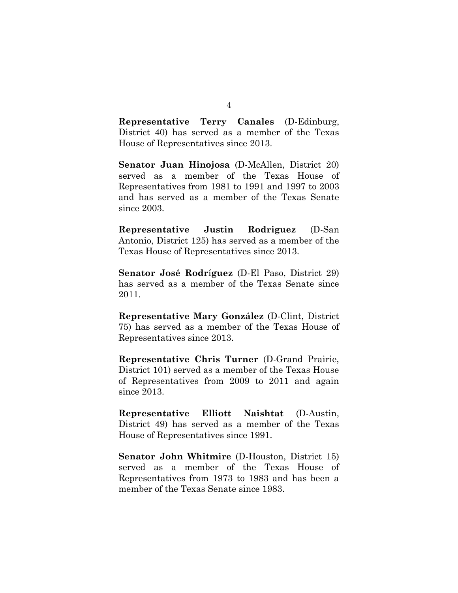**Representative Terry Canales** (D-Edinburg, District 40) has served as a member of the Texas House of Representatives since 2013.

**Senator Juan Hinojosa** (D-McAllen, District 20) served as a member of the Texas House of Representatives from 1981 to 1991 and 1997 to 2003 and has served as a member of the Texas Senate since 2003.

**Representative Justin Rodriguez** (D-San Antonio, District 125) has served as a member of the Texas House of Representatives since 2013.

**Senator José Rodr**í**guez** (D-El Paso, District 29) has served as a member of the Texas Senate since 2011.

**Representative Mary González** (D-Clint, District 75) has served as a member of the Texas House of Representatives since 2013.

**Representative Chris Turner** (D-Grand Prairie, District 101) served as a member of the Texas House of Representatives from 2009 to 2011 and again since 2013.

**Representative Elliott Naishtat** (D-Austin, District 49) has served as a member of the Texas House of Representatives since 1991.

**Senator John Whitmire** (D-Houston, District 15) served as a member of the Texas House of Representatives from 1973 to 1983 and has been a member of the Texas Senate since 1983.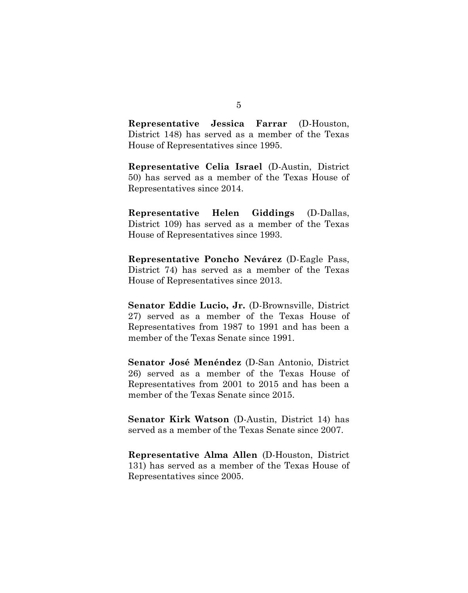**Representative Jessica Farrar** (D-Houston, District 148) has served as a member of the Texas House of Representatives since 1995.

**Representative Celia Israel** (D-Austin, District 50) has served as a member of the Texas House of Representatives since 2014.

**Representative Helen Giddings** (D-Dallas, District 109) has served as a member of the Texas House of Representatives since 1993.

**Representative Poncho Nevárez** (D-Eagle Pass, District 74) has served as a member of the Texas House of Representatives since 2013.

**Senator Eddie Lucio, Jr.** (D-Brownsville, District 27) served as a member of the Texas House of Representatives from 1987 to 1991 and has been a member of the Texas Senate since 1991.

**Senator José Menéndez** (D-San Antonio, District 26) served as a member of the Texas House of Representatives from 2001 to 2015 and has been a member of the Texas Senate since 2015.

**Senator Kirk Watson** (D-Austin, District 14) has served as a member of the Texas Senate since 2007.

**Representative Alma Allen** (D-Houston, District 131) has served as a member of the Texas House of Representatives since 2005.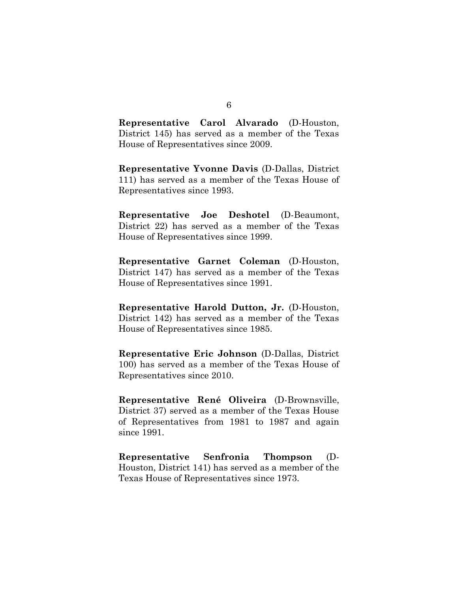**Representative Carol Alvarado** (D-Houston, District 145) has served as a member of the Texas House of Representatives since 2009.

**Representative Yvonne Davis** (D-Dallas, District 111) has served as a member of the Texas House of Representatives since 1993.

**Representative Joe Deshotel** (D-Beaumont, District 22) has served as a member of the Texas House of Representatives since 1999.

**Representative Garnet Coleman** (D-Houston, District 147) has served as a member of the Texas House of Representatives since 1991.

**Representative Harold Dutton, Jr.** (D-Houston, District 142) has served as a member of the Texas House of Representatives since 1985.

**Representative Eric Johnson** (D-Dallas, District 100) has served as a member of the Texas House of Representatives since 2010.

**Representative René Oliveira** (D-Brownsville, District 37) served as a member of the Texas House of Representatives from 1981 to 1987 and again since 1991.

**Representative Senfronia Thompson** (D-Houston, District 141) has served as a member of the Texas House of Representatives since 1973.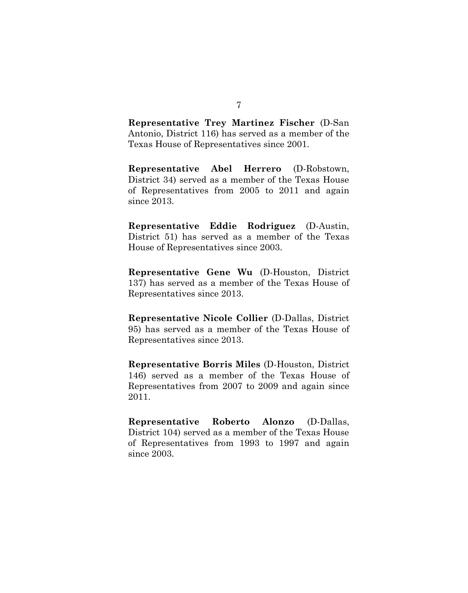**Representative Trey Martinez Fischer** (D-San Antonio, District 116) has served as a member of the Texas House of Representatives since 2001.

**Representative Abel Herrero** (D-Robstown, District 34) served as a member of the Texas House of Representatives from 2005 to 2011 and again since 2013.

**Representative Eddie Rodriguez** (D-Austin, District 51) has served as a member of the Texas House of Representatives since 2003.

**Representative Gene Wu** (D-Houston, District 137) has served as a member of the Texas House of Representatives since 2013.

**Representative Nicole Collier** (D-Dallas, District 95) has served as a member of the Texas House of Representatives since 2013.

**Representative Borris Miles** (D-Houston, District 146) served as a member of the Texas House of Representatives from 2007 to 2009 and again since 2011.

**Representative Roberto Alonzo** (D-Dallas, District 104) served as a member of the Texas House of Representatives from 1993 to 1997 and again since 2003.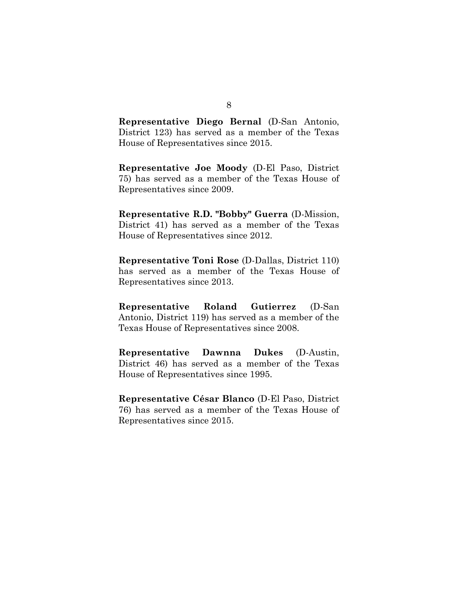**Representative Diego Bernal** (D-San Antonio, District 123) has served as a member of the Texas House of Representatives since 2015.

**Representative Joe Moody** (D-El Paso, District 75) has served as a member of the Texas House of Representatives since 2009.

**Representative R.D. "Bobby" Guerra** (D-Mission, District 41) has served as a member of the Texas House of Representatives since 2012.

**Representative Toni Rose** (D-Dallas, District 110) has served as a member of the Texas House of Representatives since 2013.

**Representative Roland Gutierrez** (D-San Antonio, District 119) has served as a member of the Texas House of Representatives since 2008.

**Representative Dawnna Dukes** (D-Austin, District 46) has served as a member of the Texas House of Representatives since 1995.

**Representative César Blanco** (D-El Paso, District 76) has served as a member of the Texas House of Representatives since 2015.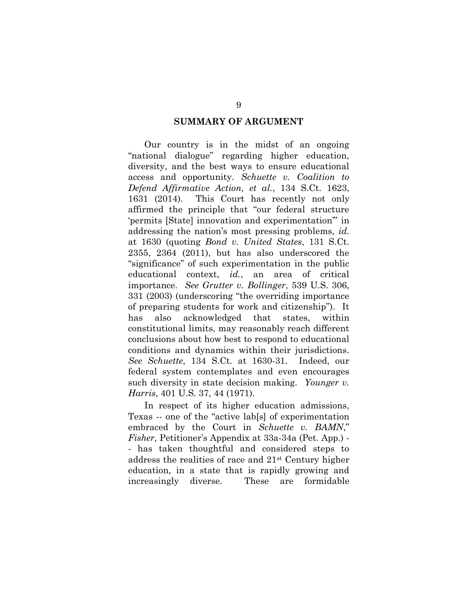#### **SUMMARY OF ARGUMENT**

Our country is in the midst of an ongoing "national dialogue" regarding higher education, diversity, and the best ways to ensure educational access and opportunity. *Schuette v. Coalition to Defend Affirmative Action, et al.*, 134 S.Ct. 1623, 1631 (2014). This Court has recently not only affirmed the principle that "our federal structure 'permits [State] innovation and experimentation'" in addressing the nation's most pressing problems, *id.* at 1630 (quoting *Bond v. United States*, 131 S.Ct. 2355, 2364 (2011), but has also underscored the "significance" of such experimentation in the public educational context, *id.*, an area of critical importance. *See Grutter v. Bollinger*, 539 U.S. 306, 331 (2003) (underscoring "the overriding importance of preparing students for work and citizenship"). It has also acknowledged that states, within constitutional limits, may reasonably reach different conclusions about how best to respond to educational conditions and dynamics within their jurisdictions. *See Schuette*, 134 S.Ct. at 1630-31. Indeed, our federal system contemplates and even encourages such diversity in state decision making. *Younger v. Harris*, 401 U.S. 37, 44 (1971).

In respect of its higher education admissions, Texas -- one of the "active lab[s] of experimentation embraced by the Court in *Schuette v. BAMN*," *Fisher*, Petitioner's Appendix at 33a-34a (Pet. App.) - - has taken thoughtful and considered steps to address the realities of race and 21st Century higher education, in a state that is rapidly growing and increasingly diverse. These are formidable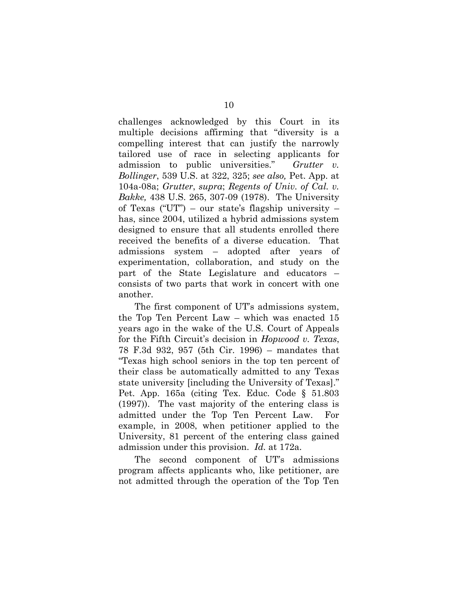challenges acknowledged by this Court in its multiple decisions affirming that "diversity is a compelling interest that can justify the narrowly tailored use of race in selecting applicants for admission to public universities." *Grutter v. Bollinger*, 539 U.S. at 322, 325; *see also,* Pet. App. at 104a-08a; *Grutter*, *supra*; *Regents of Univ. of Cal. v. Bakke,* 438 U.S. 265, 307-09 (1978). The University of Texas ("UT") – our state's flagship university – has, since 2004, utilized a hybrid admissions system designed to ensure that all students enrolled there received the benefits of a diverse education. That admissions system – adopted after years of experimentation, collaboration, and study on the part of the State Legislature and educators – consists of two parts that work in concert with one another.

The first component of UT's admissions system, the Top Ten Percent Law – which was enacted 15 years ago in the wake of the U.S. Court of Appeals for the Fifth Circuit's decision in *Hopwood v. Texas*, 78 F.3d 932, 957 (5th Cir. 1996) – mandates that "Texas high school seniors in the top ten percent of their class be automatically admitted to any Texas state university [including the University of Texas]." Pet. App. 165a (citing Tex. Educ. Code § 51.803 (1997)). The vast majority of the entering class is admitted under the Top Ten Percent Law. For example, in 2008, when petitioner applied to the University, 81 percent of the entering class gained admission under this provision. *Id.* at 172a.

The second component of UT's admissions program affects applicants who, like petitioner, are not admitted through the operation of the Top Ten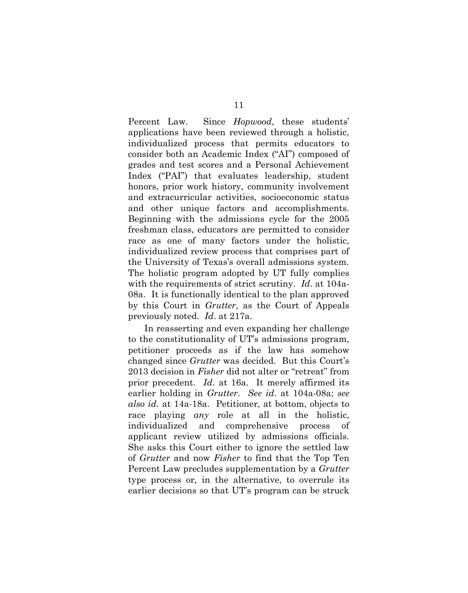Percent Law. Since *Hopwood*, these students' applications have been reviewed through a holistic, individualized process that permits educators to consider both an Academic Index ("AI") composed of grades and test scores and a Personal Achievement Index ("PAI") that evaluates leadership, student honors, prior work history, community involvement and extracurricular activities, socioeconomic status and other unique factors and accomplishments. Beginning with the admissions cycle for the 2005 freshman class, educators are permitted to consider race as one of many factors under the holistic, individualized review process that comprises part of the University of Texas's overall admissions system. The holistic program adopted by UT fully complies with the requirements of strict scrutiny. *Id*. at 104a-08a. It is functionally identical to the plan approved by this Court in *Grutter*, as the Court of Appeals previously noted*. Id*. at 217a.

In reasserting and even expanding her challenge to the constitutionality of UT's admissions program, petitioner proceeds as if the law has somehow changed since *Grutter* was decided. But this Court's 2013 decision in *Fisher* did not alter or "retreat" from prior precedent. *Id*. at 16a. It merely affirmed its earlier holding in *Grutter*. *See id*. at 104a-08a; *see also id*. at 14a-18a. Petitioner, at bottom, objects to race playing *any* role at all in the holistic, individualized and comprehensive process of applicant review utilized by admissions officials. She asks this Court either to ignore the settled law of *Grutter* and now *Fisher* to find that the Top Ten Percent Law precludes supplementation by a *Grutter* type process or, in the alternative, to overrule its earlier decisions so that UT's program can be struck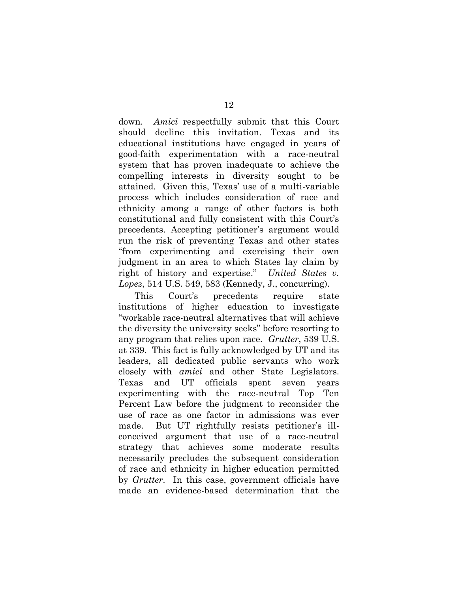down. *Amici* respectfully submit that this Court should decline this invitation. Texas and its educational institutions have engaged in years of good-faith experimentation with a race-neutral system that has proven inadequate to achieve the compelling interests in diversity sought to be attained. Given this, Texas' use of a multi-variable process which includes consideration of race and ethnicity among a range of other factors is both constitutional and fully consistent with this Court's precedents. Accepting petitioner's argument would run the risk of preventing Texas and other states "from experimenting and exercising their own judgment in an area to which States lay claim by right of history and expertise." *United States v. Lopez*, 514 U.S. 549, 583 (Kennedy, J., concurring).

This Court's precedents require state institutions of higher education to investigate "workable race-neutral alternatives that will achieve the diversity the university seeks" before resorting to any program that relies upon race. *Grutter*, 539 U.S. at 339. This fact is fully acknowledged by UT and its leaders, all dedicated public servants who work closely with *amici* and other State Legislators. Texas and UT officials spent seven years experimenting with the race-neutral Top Ten Percent Law before the judgment to reconsider the use of race as one factor in admissions was ever made. But UT rightfully resists petitioner's illconceived argument that use of a race-neutral strategy that achieves some moderate results necessarily precludes the subsequent consideration of race and ethnicity in higher education permitted by *Grutter*. In this case, government officials have made an evidence-based determination that the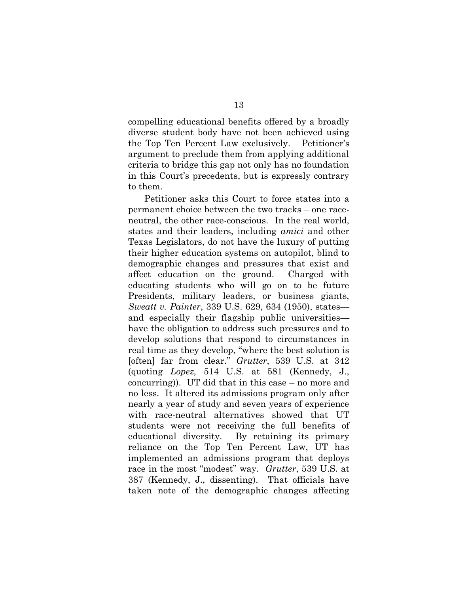compelling educational benefits offered by a broadly diverse student body have not been achieved using the Top Ten Percent Law exclusively. Petitioner's argument to preclude them from applying additional criteria to bridge this gap not only has no foundation in this Court's precedents, but is expressly contrary to them.

Petitioner asks this Court to force states into a permanent choice between the two tracks – one raceneutral, the other race-conscious. In the real world, states and their leaders, including *amici* and other Texas Legislators, do not have the luxury of putting their higher education systems on autopilot, blind to demographic changes and pressures that exist and affect education on the ground. Charged with educating students who will go on to be future Presidents, military leaders, or business giants, *Sweatt v. Painter*, 339 U.S. 629, 634 (1950), states and especially their flagship public universities have the obligation to address such pressures and to develop solutions that respond to circumstances in real time as they develop, "where the best solution is [often] far from clear." *Grutter*, 539 U.S. at 342 (quoting *Lopez,* 514 U.S. at 581 (Kennedy, J., concurring)). UT did that in this case – no more and no less. It altered its admissions program only after nearly a year of study and seven years of experience with race-neutral alternatives showed that UT students were not receiving the full benefits of educational diversity. By retaining its primary reliance on the Top Ten Percent Law, UT has implemented an admissions program that deploys race in the most "modest" way. *Grutter*, 539 U.S. at 387 (Kennedy, J., dissenting). That officials have taken note of the demographic changes affecting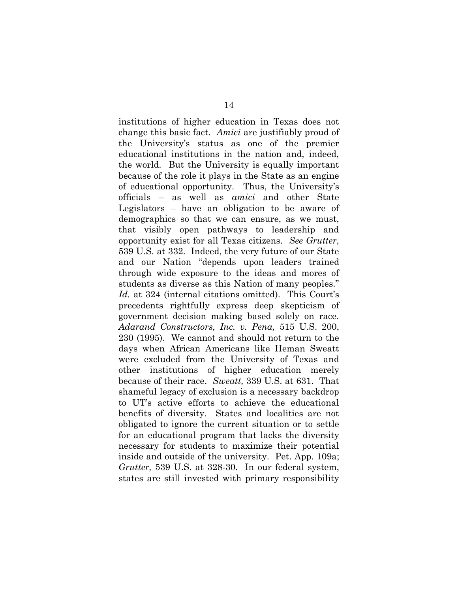institutions of higher education in Texas does not change this basic fact. *Amici* are justifiably proud of the University's status as one of the premier educational institutions in the nation and, indeed, the world. But the University is equally important because of the role it plays in the State as an engine of educational opportunity. Thus, the University's officials – as well as *amici* and other State Legislators – have an obligation to be aware of demographics so that we can ensure, as we must, that visibly open pathways to leadership and opportunity exist for all Texas citizens. *See Grutter*, 539 U.S. at 332. Indeed, the very future of our State and our Nation "depends upon leaders trained through wide exposure to the ideas and mores of students as diverse as this Nation of many peoples." *Id.* at 324 (internal citations omitted). This Court's precedents rightfully express deep skepticism of government decision making based solely on race. *Adarand Constructors, Inc. v. Pena,* 515 U.S. 200, 230 (1995). We cannot and should not return to the days when African Americans like Heman Sweatt were excluded from the University of Texas and other institutions of higher education merely because of their race. *Sweatt,* 339 U.S. at 631. That shameful legacy of exclusion is a necessary backdrop to UT's active efforts to achieve the educational benefits of diversity. States and localities are not obligated to ignore the current situation or to settle for an educational program that lacks the diversity necessary for students to maximize their potential inside and outside of the university. Pet. App. 109a; *Grutter,* 539 U.S. at 328-30. In our federal system, states are still invested with primary responsibility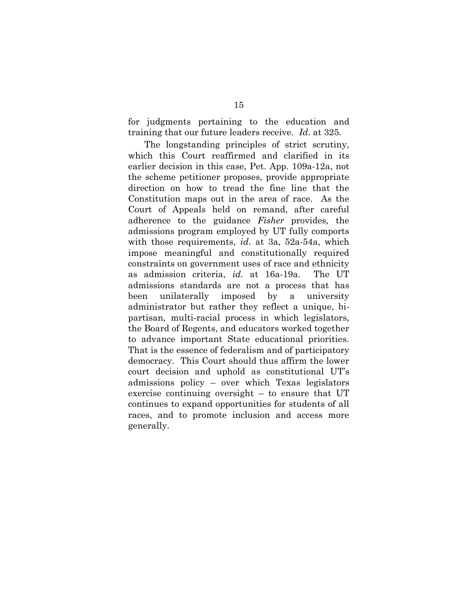for judgments pertaining to the education and training that our future leaders receive*. Id*. at 325*.*

The longstanding principles of strict scrutiny, which this Court reaffirmed and clarified in its earlier decision in this case, Pet. App. 109a-12a, not the scheme petitioner proposes, provide appropriate direction on how to tread the fine line that the Constitution maps out in the area of race. As the Court of Appeals held on remand, after careful adherence to the guidance *Fisher* provides*,* the admissions program employed by UT fully comports with those requirements, *id*. at 3a, 52a-54a, which impose meaningful and constitutionally required constraints on government uses of race and ethnicity as admission criteria, *id.* at 16a-19a. The UT admissions standards are not a process that has been unilaterally imposed by a university administrator but rather they reflect a unique, bipartisan, multi-racial process in which legislators, the Board of Regents, and educators worked together to advance important State educational priorities. That is the essence of federalism and of participatory democracy. This Court should thus affirm the lower court decision and uphold as constitutional UT's admissions policy – over which Texas legislators exercise continuing oversight – to ensure that UT continues to expand opportunities for students of all races, and to promote inclusion and access more generally.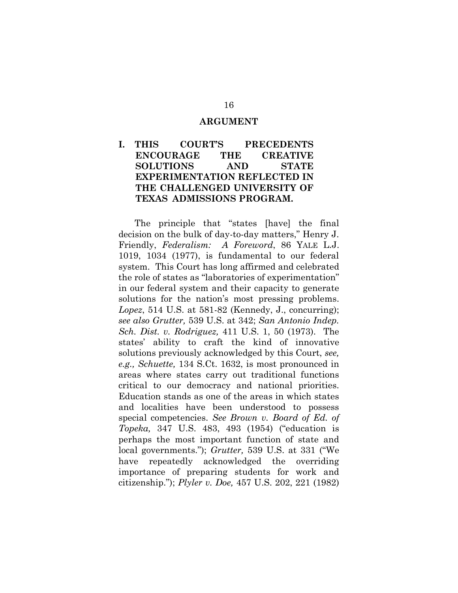#### **ARGUMENT**

## **I. THIS COURT'S PRECEDENTS ENCOURAGE THE CREATIVE SOLUTIONS AND STATE EXPERIMENTATION REFLECTED IN THE CHALLENGED UNIVERSITY OF TEXAS ADMISSIONS PROGRAM.**

The principle that "states [have] the final decision on the bulk of day-to-day matters," Henry J. Friendly, *Federalism: A Foreword*, 86 YALE L.J. 1019, 1034 (1977), is fundamental to our federal system. This Court has long affirmed and celebrated the role of states as "laboratories of experimentation" in our federal system and their capacity to generate solutions for the nation's most pressing problems. *Lopez*, 514 U.S. at 581-82 (Kennedy, J., concurring); *see also Grutter,* 539 U.S. at 342; *San Antonio Indep. Sch. Dist. v. Rodriguez,* 411 U.S. 1, 50 (1973). The states' ability to craft the kind of innovative solutions previously acknowledged by this Court, *see, e.g., Schuette,* 134 S.Ct. 1632, is most pronounced in areas where states carry out traditional functions critical to our democracy and national priorities. Education stands as one of the areas in which states and localities have been understood to possess special competencies. *See Brown v. Board of Ed. of Topeka,* 347 U.S. 483, 493 (1954) ("education is perhaps the most important function of state and local governments."); *Grutter,* 539 U.S. at 331 ("We have repeatedly acknowledged the overriding importance of preparing students for work and citizenship."); *Plyler v. Doe,* 457 U.S. 202, 221 (1982)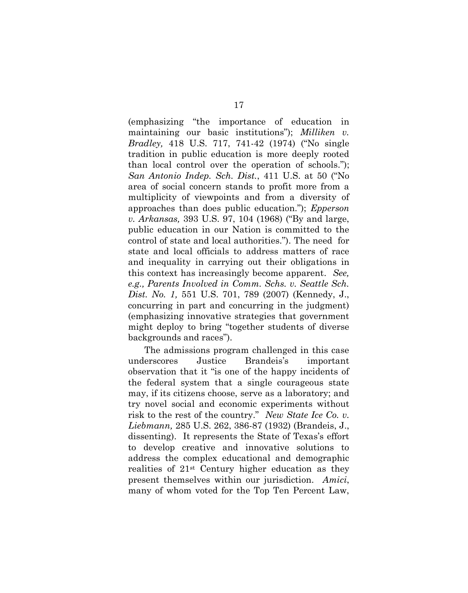(emphasizing "the importance of education in maintaining our basic institutions"); *Milliken v. Bradley,* 418 U.S. 717, 741-42 (1974) ("No single tradition in public education is more deeply rooted than local control over the operation of schools."); *San Antonio Indep. Sch. Dist.*, 411 U.S. at 50 ("No area of social concern stands to profit more from a multiplicity of viewpoints and from a diversity of approaches than does public education."); *Epperson v. Arkansas,* 393 U.S. 97, 104 (1968) ("By and large, public education in our Nation is committed to the control of state and local authorities."). The need for state and local officials to address matters of race and inequality in carrying out their obligations in this context has increasingly become apparent. *See, e.g., Parents Involved in Comm. Schs. v. Seattle Sch. Dist. No. 1,* 551 U.S. 701, 789 (2007) (Kennedy, J., concurring in part and concurring in the judgment) (emphasizing innovative strategies that government might deploy to bring "together students of diverse backgrounds and races").

The admissions program challenged in this case underscores Justice Brandeis's important observation that it "is one of the happy incidents of the federal system that a single courageous state may, if its citizens choose, serve as a laboratory; and try novel social and economic experiments without risk to the rest of the country." *New State Ice Co. v. Liebmann,* 285 U.S. 262, 386-87 (1932) (Brandeis, J., dissenting). It represents the State of Texas's effort to develop creative and innovative solutions to address the complex educational and demographic realities of 21st Century higher education as they present themselves within our jurisdiction. *Amici*, many of whom voted for the Top Ten Percent Law,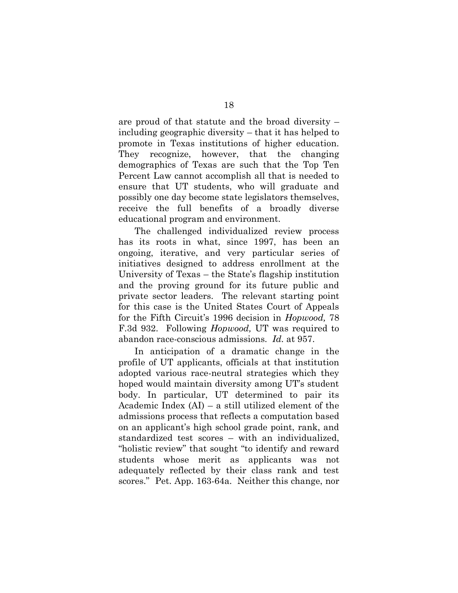are proud of that statute and the broad diversity – including geographic diversity – that it has helped to promote in Texas institutions of higher education. They recognize, however, that the changing demographics of Texas are such that the Top Ten Percent Law cannot accomplish all that is needed to ensure that UT students, who will graduate and possibly one day become state legislators themselves, receive the full benefits of a broadly diverse educational program and environment.

The challenged individualized review process has its roots in what, since 1997, has been an ongoing, iterative, and very particular series of initiatives designed to address enrollment at the University of Texas – the State's flagship institution and the proving ground for its future public and private sector leaders. The relevant starting point for this case is the United States Court of Appeals for the Fifth Circuit's 1996 decision in *Hopwood,* 78 F.3d 932. Following *Hopwood,* UT was required to abandon race-conscious admissions. *Id.* at 957.

In anticipation of a dramatic change in the profile of UT applicants, officials at that institution adopted various race-neutral strategies which they hoped would maintain diversity among UT's student body. In particular, UT determined to pair its Academic Index (AI) – a still utilized element of the admissions process that reflects a computation based on an applicant's high school grade point, rank, and standardized test scores – with an individualized, "holistic review" that sought "to identify and reward students whose merit as applicants was not adequately reflected by their class rank and test scores." Pet. App. 163-64a. Neither this change, nor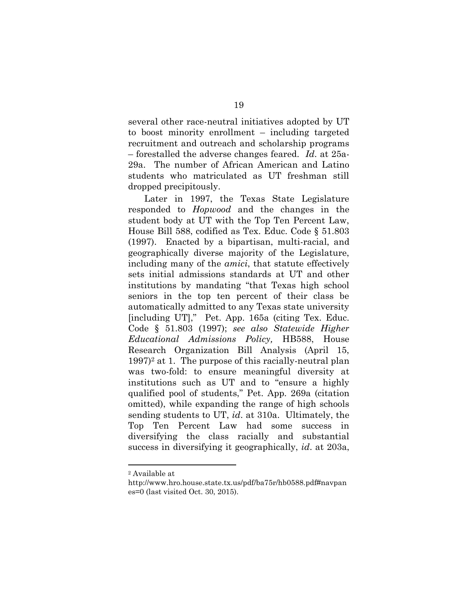several other race-neutral initiatives adopted by UT to boost minority enrollment – including targeted recruitment and outreach and scholarship programs – forestalled the adverse changes feared. *Id*. at 25a-29a. The number of African American and Latino students who matriculated as UT freshman still dropped precipitously.

Later in 1997, the Texas State Legislature responded to *Hopwood* and the changes in the student body at UT with the Top Ten Percent Law, House Bill 588, codified as Tex. Educ. Code § 51.803 (1997). Enacted by a bipartisan, multi-racial, and geographically diverse majority of the Legislature, including many of the *amici*, that statute effectively sets initial admissions standards at UT and other institutions by mandating "that Texas high school seniors in the top ten percent of their class be automatically admitted to any Texas state university [including UT]," Pet. App. 165a (citing Tex. Educ. Code § 51.803 (1997); *see also Statewide Higher Educational Admissions Policy,* HB588, House Research Organization Bill Analysis (April 15,  $1997$ <sup>2</sup> at 1. The purpose of this racially-neutral plan was two-fold: to ensure meaningful diversity at institutions such as UT and to "ensure a highly qualified pool of students," Pet. App. 269a (citation omitted), while expanding the range of high schools sending students to UT, *id*. at 310a. Ultimately, the Top Ten Percent Law had some success in diversifying the class racially and substantial success in diversifying it geographically, *id*. at 203a,

 $\overline{a}$ 

<sup>2</sup> Available at

http://www.hro.house.state.tx.us/pdf/ba75r/hb0588.pdf#navpan es=0 (last visited Oct. 30, 2015).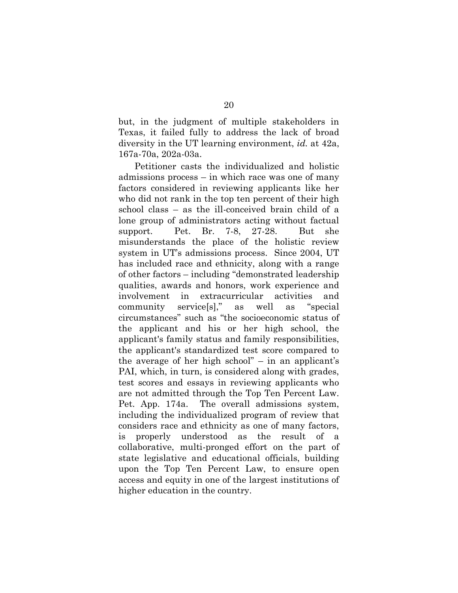but, in the judgment of multiple stakeholders in Texas, it failed fully to address the lack of broad diversity in the UT learning environment, *id.* at 42a, 167a-70a, 202a-03a.

Petitioner casts the individualized and holistic admissions process – in which race was one of many factors considered in reviewing applicants like her who did not rank in the top ten percent of their high school class – as the ill-conceived brain child of a lone group of administrators acting without factual support. Pet. Br. 7-8, 27-28. But she misunderstands the place of the holistic review system in UT's admissions process. Since 2004, UT has included race and ethnicity, along with a range of other factors – including "demonstrated leadership qualities, awards and honors, work experience and involvement in extracurricular activities and community service[s]," as well as "special circumstances" such as "the socioeconomic status of the applicant and his or her high school, the applicant's family status and family responsibilities, the applicant's standardized test score compared to the average of her high school" – in an applicant's PAI, which, in turn, is considered along with grades, test scores and essays in reviewing applicants who are not admitted through the Top Ten Percent Law. Pet. App. 174a. The overall admissions system, including the individualized program of review that considers race and ethnicity as one of many factors, is properly understood as the result of a collaborative, multi-pronged effort on the part of state legislative and educational officials, building upon the Top Ten Percent Law, to ensure open access and equity in one of the largest institutions of higher education in the country.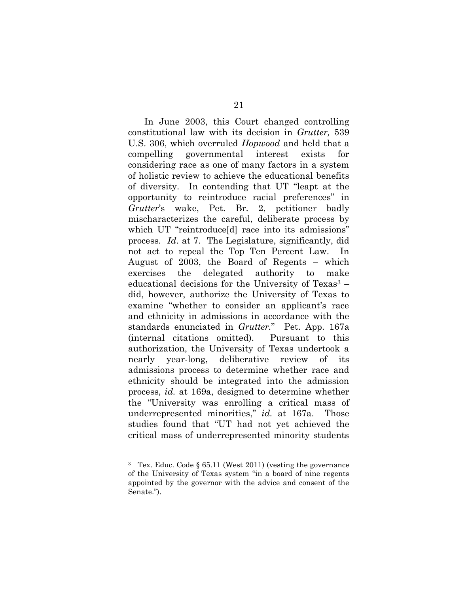In June 2003, this Court changed controlling constitutional law with its decision in *Grutter,* 539 U.S. 306, which overruled *Hopwood* and held that a compelling governmental interest exists for considering race as one of many factors in a system of holistic review to achieve the educational benefits of diversity. In contending that UT "leapt at the opportunity to reintroduce racial preferences" in *Grutter*'s wake, Pet. Br. 2, petitioner badly mischaracterizes the careful, deliberate process by which UT "reintroduce[d] race into its admissions" process. *Id*. at 7. The Legislature, significantly, did not act to repeal the Top Ten Percent Law. In August of 2003, the Board of Regents – which exercises the delegated authority to make educational decisions for the University of Texas $3$  – did, however, authorize the University of Texas to examine "whether to consider an applicant's race and ethnicity in admissions in accordance with the standards enunciated in *Grutter.*" Pet. App. 167a (internal citations omitted). Pursuant to this authorization, the University of Texas undertook a nearly year-long, deliberative review of its admissions process to determine whether race and ethnicity should be integrated into the admission process, *id.* at 169a, designed to determine whether the "University was enrolling a critical mass of underrepresented minorities," *id.* at 167a. Those studies found that "UT had not yet achieved the critical mass of underrepresented minority students

 $\overline{a}$ 

<sup>3</sup> Tex. Educ. Code § 65.11 (West 2011) (vesting the governance of the University of Texas system "in a board of nine regents appointed by the governor with the advice and consent of the Senate.").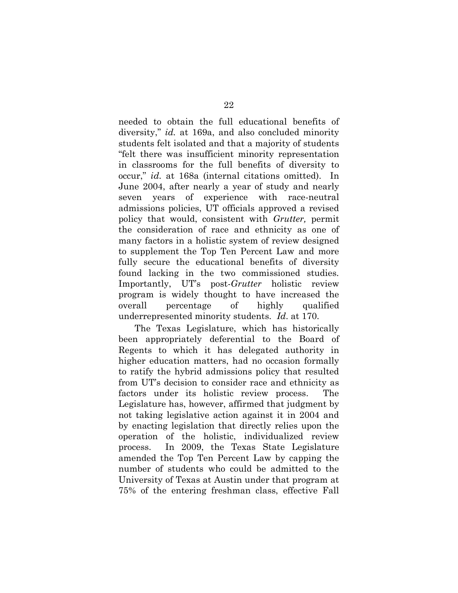needed to obtain the full educational benefits of diversity," *id.* at 169a, and also concluded minority students felt isolated and that a majority of students "felt there was insufficient minority representation in classrooms for the full benefits of diversity to occur," *id.* at 168a (internal citations omitted). In June 2004, after nearly a year of study and nearly seven years of experience with race-neutral admissions policies, UT officials approved a revised policy that would, consistent with *Grutter,* permit the consideration of race and ethnicity as one of many factors in a holistic system of review designed to supplement the Top Ten Percent Law and more fully secure the educational benefits of diversity found lacking in the two commissioned studies. Importantly, UT's post-*Grutter* holistic review program is widely thought to have increased the overall percentage of highly qualified underrepresented minority students. *Id*. at 170.

The Texas Legislature, which has historically been appropriately deferential to the Board of Regents to which it has delegated authority in higher education matters, had no occasion formally to ratify the hybrid admissions policy that resulted from UT's decision to consider race and ethnicity as factors under its holistic review process. The Legislature has, however, affirmed that judgment by not taking legislative action against it in 2004 and by enacting legislation that directly relies upon the operation of the holistic, individualized review process. In 2009, the Texas State Legislature amended the Top Ten Percent Law by capping the number of students who could be admitted to the University of Texas at Austin under that program at 75% of the entering freshman class, effective Fall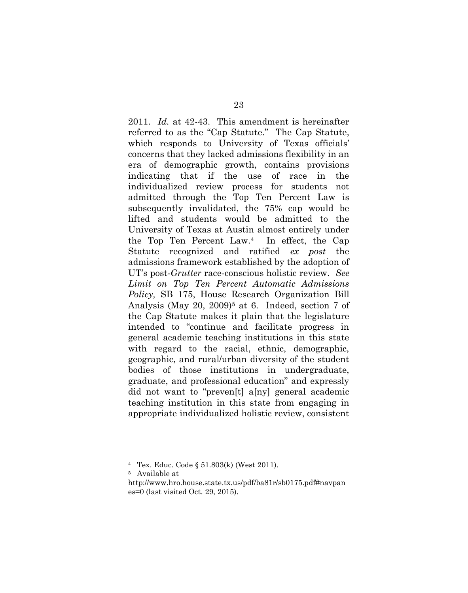2011. *Id.* at 42-43. This amendment is hereinafter referred to as the "Cap Statute." The Cap Statute, which responds to University of Texas officials' concerns that they lacked admissions flexibility in an era of demographic growth, contains provisions indicating that if the use of race in the individualized review process for students not admitted through the Top Ten Percent Law is subsequently invalidated, the 75% cap would be lifted and students would be admitted to the University of Texas at Austin almost entirely under the Top Ten Percent Law.4 In effect, the Cap Statute recognized and ratified *ex post* the admissions framework established by the adoption of UT's post-*Grutter* race-conscious holistic review. *See Limit on Top Ten Percent Automatic Admissions Policy,* SB 175, House Research Organization Bill Analysis (May 20, 2009)<sup>5</sup> at 6. Indeed, section 7 of the Cap Statute makes it plain that the legislature intended to "continue and facilitate progress in general academic teaching institutions in this state with regard to the racial, ethnic, demographic, geographic, and rural/urban diversity of the student bodies of those institutions in undergraduate, graduate, and professional education" and expressly did not want to "preven[t] a[ny] general academic teaching institution in this state from engaging in appropriate individualized holistic review, consistent

 $\overline{a}$ 

<sup>4</sup> Tex. Educ. Code § 51.803(k) (West 2011).

<sup>5</sup> Available at

http://www.hro.house.state.tx.us/pdf/ba81r/sb0175.pdf#navpan es=0 (last visited Oct. 29, 2015).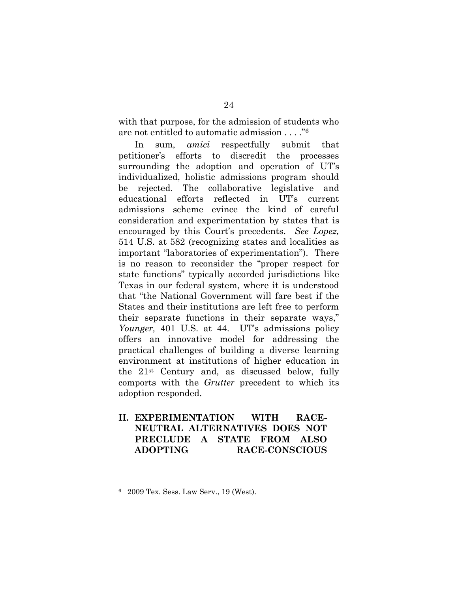with that purpose, for the admission of students who are not entitled to automatic admission . . . ."<sup>6</sup>

In sum, *amici* respectfully submit that petitioner's efforts to discredit the processes surrounding the adoption and operation of UT's individualized, holistic admissions program should be rejected. The collaborative legislative and educational efforts reflected in UT's current admissions scheme evince the kind of careful consideration and experimentation by states that is encouraged by this Court's precedents. *See Lopez,* 514 U.S. at 582 (recognizing states and localities as important "laboratories of experimentation"). There is no reason to reconsider the "proper respect for state functions" typically accorded jurisdictions like Texas in our federal system, where it is understood that "the National Government will fare best if the States and their institutions are left free to perform their separate functions in their separate ways," *Younger,* 401 U.S. at 44. UT's admissions policy offers an innovative model for addressing the practical challenges of building a diverse learning environment at institutions of higher education in the 21st Century and, as discussed below, fully comports with the *Grutter* precedent to which its adoption responded.

**II. EXPERIMENTATION WITH RACE-NEUTRAL ALTERNATIVES DOES NOT PRECLUDE A STATE FROM ALSO ADOPTING RACE-CONSCIOUS** 

<sup>6</sup> 2009 Tex. Sess. Law Serv., 19 (West).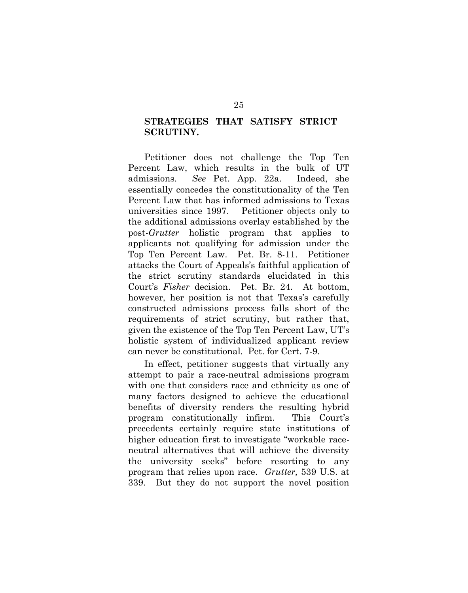### **STRATEGIES THAT SATISFY STRICT SCRUTINY.**

Petitioner does not challenge the Top Ten Percent Law, which results in the bulk of UT admissions. *See* Pet. App. 22a. Indeed, she essentially concedes the constitutionality of the Ten Percent Law that has informed admissions to Texas universities since 1997. Petitioner objects only to the additional admissions overlay established by the post-*Grutter* holistic program that applies to applicants not qualifying for admission under the Top Ten Percent Law. Pet. Br. 8-11. Petitioner attacks the Court of Appeals's faithful application of the strict scrutiny standards elucidated in this Court's *Fisher* decision. Pet. Br. 24. At bottom, however, her position is not that Texas's carefully constructed admissions process falls short of the requirements of strict scrutiny, but rather that, given the existence of the Top Ten Percent Law, UT's holistic system of individualized applicant review can never be constitutional*.* Pet. for Cert. 7-9.

In effect, petitioner suggests that virtually any attempt to pair a race-neutral admissions program with one that considers race and ethnicity as one of many factors designed to achieve the educational benefits of diversity renders the resulting hybrid program constitutionally infirm. This Court's precedents certainly require state institutions of higher education first to investigate "workable raceneutral alternatives that will achieve the diversity the university seeks" before resorting to any program that relies upon race. *Grutter,* 539 U.S. at 339. But they do not support the novel position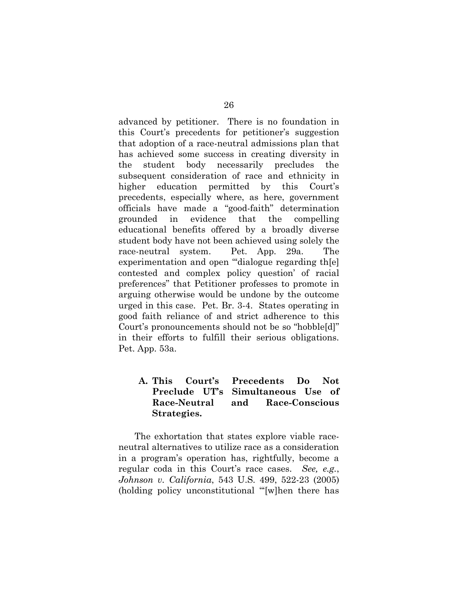advanced by petitioner. There is no foundation in this Court's precedents for petitioner's suggestion that adoption of a race-neutral admissions plan that has achieved some success in creating diversity in the student body necessarily precludes the subsequent consideration of race and ethnicity in higher education permitted by this Court's precedents, especially where, as here, government officials have made a "good-faith" determination grounded in evidence that the compelling educational benefits offered by a broadly diverse student body have not been achieved using solely the race-neutral system. Pet. App. 29a. The experimentation and open "dialogue regarding the contested and complex policy question' of racial preferences" that Petitioner professes to promote in arguing otherwise would be undone by the outcome urged in this case. Pet. Br. 3-4. States operating in good faith reliance of and strict adherence to this Court's pronouncements should not be so "hobble[d]" in their efforts to fulfill their serious obligations. Pet. App. 53a.

### **A. This Court's Precedents Do Not Preclude UT's Simultaneous Use of Race-Neutral and Race-Conscious Strategies.**

The exhortation that states explore viable raceneutral alternatives to utilize race as a consideration in a program's operation has, rightfully, become a regular coda in this Court's race cases. *See, e.g.*, *Johnson v. California*, 543 U.S. 499, 522-23 (2005) (holding policy unconstitutional "'[w]hen there has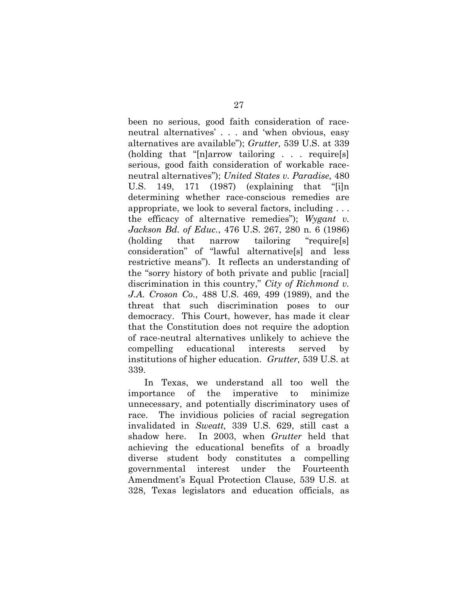been no serious, good faith consideration of raceneutral alternatives' . . . and 'when obvious, easy alternatives are available"); *Grutter,* 539 U.S. at 339 (holding that "[n]arrow tailoring . . . require[s] serious, good faith consideration of workable raceneutral alternatives"); *United States v. Paradise,* 480 U.S. 149, 171 (1987) (explaining that "[i]n determining whether race-conscious remedies are appropriate, we look to several factors, including . . . the efficacy of alternative remedies"); *Wygant v. Jackson Bd. of Educ.*, 476 U.S. 267, 280 n. 6 (1986) (holding that narrow tailoring "require[s] consideration" of "lawful alternative[s] and less restrictive means"). It reflects an understanding of the "sorry history of both private and public [racial] discrimination in this country," *City of Richmond v. J.A. Croson Co.*, 488 U.S. 469, 499 (1989), and the threat that such discrimination poses to our democracy. This Court, however, has made it clear that the Constitution does not require the adoption of race-neutral alternatives unlikely to achieve the compelling educational interests served by institutions of higher education. *Grutter,* 539 U.S. at 339.

In Texas, we understand all too well the importance of the imperative to minimize unnecessary, and potentially discriminatory uses of race. The invidious policies of racial segregation invalidated in *Sweatt,* 339 U.S. 629, still cast a shadow here. In 2003, when *Grutter* held that achieving the educational benefits of a broadly diverse student body constitutes a compelling governmental interest under the Fourteenth Amendment's Equal Protection Clause, 539 U.S. at 328, Texas legislators and education officials, as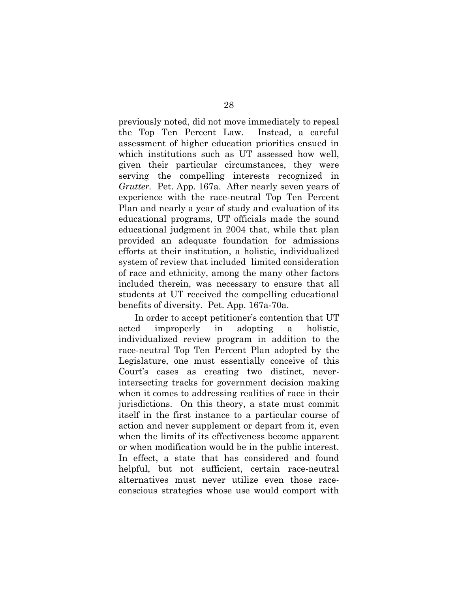previously noted, did not move immediately to repeal the Top Ten Percent Law. Instead, a careful assessment of higher education priorities ensued in which institutions such as UT assessed how well, given their particular circumstances, they were serving the compelling interests recognized in *Grutter.* Pet. App. 167a. After nearly seven years of experience with the race-neutral Top Ten Percent Plan and nearly a year of study and evaluation of its educational programs, UT officials made the sound educational judgment in 2004 that, while that plan provided an adequate foundation for admissions efforts at their institution, a holistic, individualized system of review that included limited consideration of race and ethnicity, among the many other factors included therein, was necessary to ensure that all students at UT received the compelling educational benefits of diversity. Pet. App. 167a-70a.

In order to accept petitioner's contention that UT acted improperly in adopting a holistic, individualized review program in addition to the race-neutral Top Ten Percent Plan adopted by the Legislature, one must essentially conceive of this Court's cases as creating two distinct, neverintersecting tracks for government decision making when it comes to addressing realities of race in their jurisdictions. On this theory, a state must commit itself in the first instance to a particular course of action and never supplement or depart from it, even when the limits of its effectiveness become apparent or when modification would be in the public interest. In effect, a state that has considered and found helpful, but not sufficient, certain race-neutral alternatives must never utilize even those raceconscious strategies whose use would comport with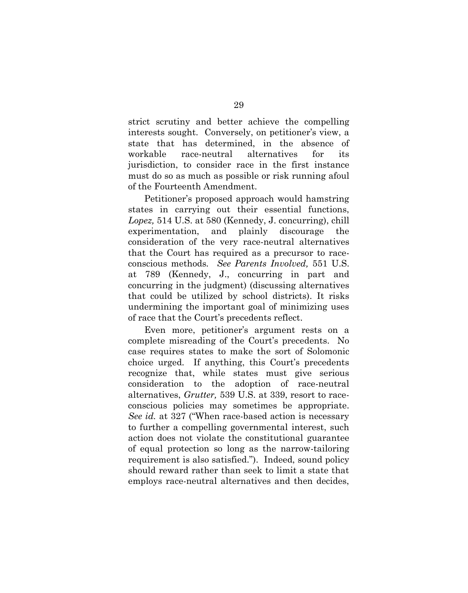strict scrutiny and better achieve the compelling interests sought. Conversely, on petitioner's view, a state that has determined, in the absence of workable race-neutral alternatives for its jurisdiction, to consider race in the first instance must do so as much as possible or risk running afoul of the Fourteenth Amendment.

Petitioner's proposed approach would hamstring states in carrying out their essential functions, *Lopez,* 514 U.S. at 580 (Kennedy, J. concurring), chill experimentation, and plainly discourage the consideration of the very race-neutral alternatives that the Court has required as a precursor to raceconscious methods*. See Parents Involved,* 551 U.S. at 789 (Kennedy, J., concurring in part and concurring in the judgment) (discussing alternatives that could be utilized by school districts). It risks undermining the important goal of minimizing uses of race that the Court's precedents reflect.

Even more, petitioner's argument rests on a complete misreading of the Court's precedents. No case requires states to make the sort of Solomonic choice urged. If anything, this Court's precedents recognize that, while states must give serious consideration to the adoption of race-neutral alternatives, *Grutter,* 539 U.S. at 339, resort to raceconscious policies may sometimes be appropriate. *See id.* at 327 ("When race-based action is necessary to further a compelling governmental interest, such action does not violate the constitutional guarantee of equal protection so long as the narrow-tailoring requirement is also satisfied."). Indeed, sound policy should reward rather than seek to limit a state that employs race-neutral alternatives and then decides,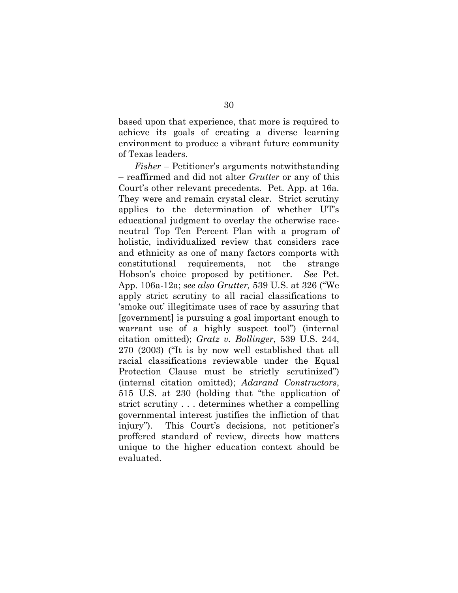based upon that experience, that more is required to achieve its goals of creating a diverse learning environment to produce a vibrant future community of Texas leaders.

*Fisher* – Petitioner's arguments notwithstanding – reaffirmed and did not alter *Grutter* or any of this Court's other relevant precedents. Pet. App. at 16a. They were and remain crystal clear. Strict scrutiny applies to the determination of whether UT's educational judgment to overlay the otherwise raceneutral Top Ten Percent Plan with a program of holistic, individualized review that considers race and ethnicity as one of many factors comports with constitutional requirements, not the strange Hobson's choice proposed by petitioner. *See* Pet. App. 106a-12a; *see also Grutter,* 539 U.S. at 326 ("We apply strict scrutiny to all racial classifications to 'smoke out' illegitimate uses of race by assuring that [government] is pursuing a goal important enough to warrant use of a highly suspect tool") (internal citation omitted); *Gratz v. Bollinger*, 539 U.S. 244, 270 (2003) ("It is by now well established that all racial classifications reviewable under the Equal Protection Clause must be strictly scrutinized") (internal citation omitted); *Adarand Constructors*, 515 U.S. at 230 (holding that "the application of strict scrutiny . . . determines whether a compelling governmental interest justifies the infliction of that injury"). This Court's decisions, not petitioner's proffered standard of review, directs how matters unique to the higher education context should be evaluated.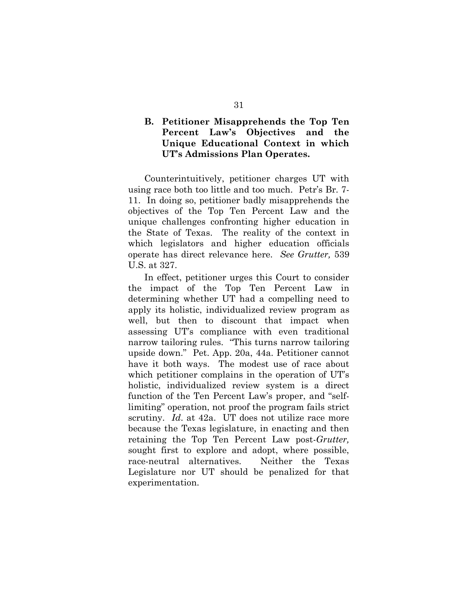### **B. Petitioner Misapprehends the Top Ten Percent Law's Objectives and the Unique Educational Context in which UT's Admissions Plan Operates.**

Counterintuitively, petitioner charges UT with using race both too little and too much. Petr's Br. 7- 11. In doing so, petitioner badly misapprehends the objectives of the Top Ten Percent Law and the unique challenges confronting higher education in the State of Texas. The reality of the context in which legislators and higher education officials operate has direct relevance here. *See Grutter,* 539 U.S. at 327.

In effect, petitioner urges this Court to consider the impact of the Top Ten Percent Law in determining whether UT had a compelling need to apply its holistic, individualized review program as well, but then to discount that impact when assessing UT's compliance with even traditional narrow tailoring rules. "This turns narrow tailoring upside down." Pet. App. 20a, 44a. Petitioner cannot have it both ways. The modest use of race about which petitioner complains in the operation of UT's holistic, individualized review system is a direct function of the Ten Percent Law's proper, and "selflimiting" operation, not proof the program fails strict scrutiny. *Id*. at 42a. UT does not utilize race more because the Texas legislature, in enacting and then retaining the Top Ten Percent Law post-*Grutter,* sought first to explore and adopt, where possible, race-neutral alternatives. Neither the Texas Legislature nor UT should be penalized for that experimentation.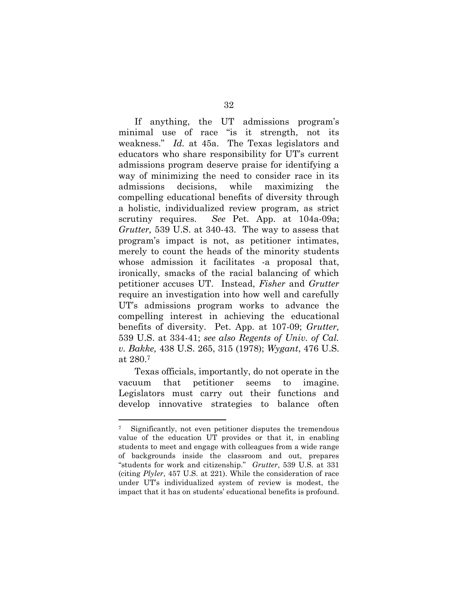If anything, the UT admissions program's minimal use of race "is it strength, not its weakness." *Id.* at 45a. The Texas legislators and educators who share responsibility for UT's current admissions program deserve praise for identifying a way of minimizing the need to consider race in its admissions decisions, while maximizing the compelling educational benefits of diversity through a holistic, individualized review program, as strict scrutiny requires. *See* Pet. App. at 104a-09a; *Grutter,* 539 U.S. at 340-43. The way to assess that program's impact is not, as petitioner intimates, merely to count the heads of the minority students whose admission it facilitates -a proposal that, ironically, smacks of the racial balancing of which petitioner accuses UT. Instead, *Fisher* and *Grutter* require an investigation into how well and carefully UT's admissions program works to advance the compelling interest in achieving the educational benefits of diversity. Pet. App. at 107-09; *Grutter,* 539 U.S. at 334-41; *see also Regents of Univ. of Cal. v. Bakke,* 438 U.S. 265, 315 (1978); *Wygant*, 476 U.S. at 280.<sup>7</sup>

Texas officials, importantly, do not operate in the vacuum that petitioner seems to imagine. Legislators must carry out their functions and develop innovative strategies to balance often

l

<sup>7</sup> Significantly, not even petitioner disputes the tremendous value of the education UT provides or that it, in enabling students to meet and engage with colleagues from a wide range of backgrounds inside the classroom and out, prepares "students for work and citizenship." *Grutter*, 539 U.S. at 331 (citing *Plyler*, 457 U.S. at 221). While the consideration of race under UT's individualized system of review is modest, the impact that it has on students' educational benefits is profound.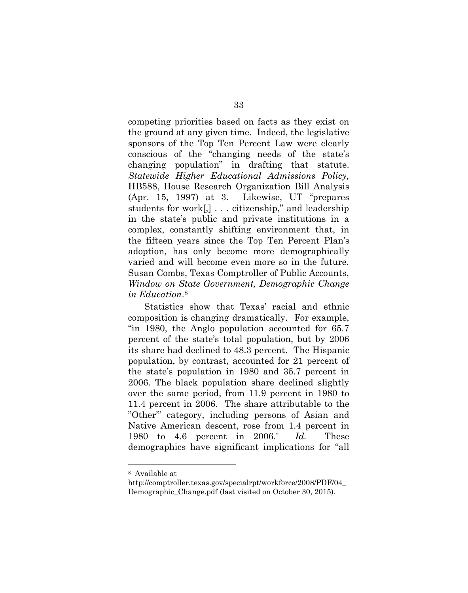competing priorities based on facts as they exist on the ground at any given time. Indeed, the legislative sponsors of the Top Ten Percent Law were clearly conscious of the "changing needs of the state's changing population" in drafting that statute. *Statewide Higher Educational Admissions Policy,* HB588, House Research Organization Bill Analysis (Apr. 15, 1997) at 3. Likewise, UT "prepares students for work[,] . . . citizenship," and leadership in the state's public and private institutions in a complex, constantly shifting environment that, in the fifteen years since the Top Ten Percent Plan's adoption, has only become more demographically varied and will become even more so in the future. Susan Combs, Texas Comptroller of Public Accounts, *Window on State Government, Demographic Change in Education*. 8

Statistics show that Texas' racial and ethnic composition is changing dramatically. For example, "in 1980, the Anglo population accounted for 65.7 percent of the state's total population, but by 2006 its share had declined to 48.3 percent. The Hispanic population, by contrast, accounted for 21 percent of the state's population in 1980 and 35.7 percent in 2006. The black population share declined slightly over the same period, from 11.9 percent in 1980 to 11.4 percent in 2006. The share attributable to the "Other'" category, including persons of Asian and Native American descent, rose from 1.4 percent in 1980 to 4.6 percent in 2006." *Id.* These demographics have significant implications for "all

 $\overline{a}$ 

<sup>8</sup> Available at

http://comptroller.texas.gov/specialrpt/workforce/2008/PDF/04\_ Demographic Change.pdf (last visited on October 30, 2015).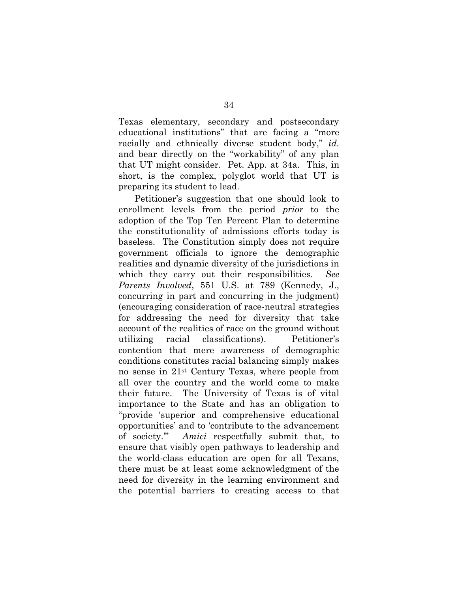Texas elementary, secondary and postsecondary educational institutions" that are facing a "more racially and ethnically diverse student body," *id.*  and bear directly on the "workability" of any plan that UT might consider. Pet. App. at 34a. This, in short, is the complex, polyglot world that UT is preparing its student to lead.

Petitioner's suggestion that one should look to enrollment levels from the period *prior* to the adoption of the Top Ten Percent Plan to determine the constitutionality of admissions efforts today is baseless. The Constitution simply does not require government officials to ignore the demographic realities and dynamic diversity of the jurisdictions in which they carry out their responsibilities. *See Parents Involved*, 551 U.S. at 789 (Kennedy, J., concurring in part and concurring in the judgment) (encouraging consideration of race-neutral strategies for addressing the need for diversity that take account of the realities of race on the ground without utilizing racial classifications). Petitioner's contention that mere awareness of demographic conditions constitutes racial balancing simply makes no sense in 21st Century Texas, where people from all over the country and the world come to make their future. The University of Texas is of vital importance to the State and has an obligation to "provide 'superior and comprehensive educational opportunities' and to 'contribute to the advancement of society.'" *Amici* respectfully submit that, to ensure that visibly open pathways to leadership and the world-class education are open for all Texans, there must be at least some acknowledgment of the need for diversity in the learning environment and the potential barriers to creating access to that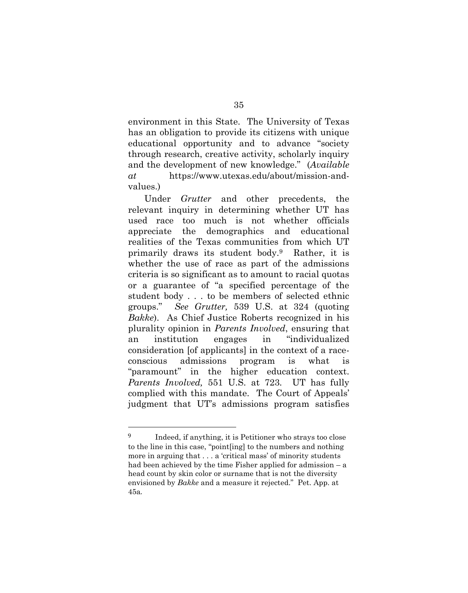environment in this State. The University of Texas has an obligation to provide its citizens with unique educational opportunity and to advance "society through research, creative activity, scholarly inquiry and the development of new knowledge." (*Available at* https://www.utexas.edu/about/mission-andvalues.)

Under *Grutter* and other precedents, the relevant inquiry in determining whether UT has used race too much is not whether officials appreciate the demographics and educational realities of the Texas communities from which UT primarily draws its student body.9 Rather, it is whether the use of race as part of the admissions criteria is so significant as to amount to racial quotas or a guarantee of "a specified percentage of the student body . . . to be members of selected ethnic groups." *See Grutter,* 539 U.S. at 324 (quoting *Bakke*). As Chief Justice Roberts recognized in his plurality opinion in *Parents Involved*, ensuring that an institution engages in "individualized consideration [of applicants] in the context of a raceconscious admissions program is what is "paramount" in the higher education context. *Parents Involved,* 551 U.S. at 723*.* UT has fully complied with this mandate. The Court of Appeals' judgment that UT's admissions program satisfies

 $\overline{a}$ 

<sup>9</sup> Indeed, if anything, it is Petitioner who strays too close to the line in this case, "point[ing] to the numbers and nothing more in arguing that . . . a 'critical mass' of minority students had been achieved by the time Fisher applied for admission – a head count by skin color or surname that is not the diversity envisioned by *Bakke* and a measure it rejected." Pet. App. at 45a.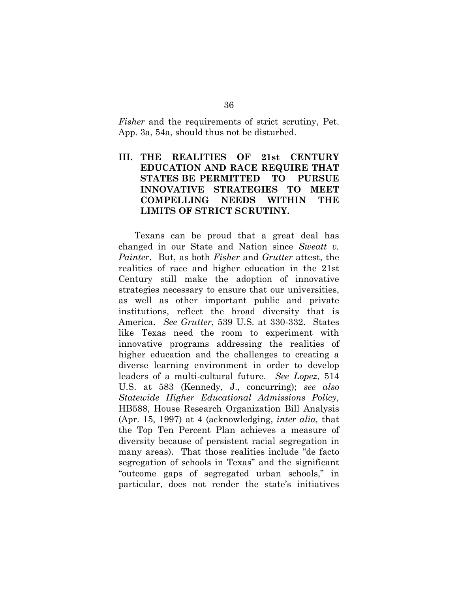*Fisher* and the requirements of strict scrutiny, Pet. App. 3a, 54a, should thus not be disturbed.

## **III. THE REALITIES OF 21st CENTURY EDUCATION AND RACE REQUIRE THAT STATES BE PERMITTED TO PURSUE INNOVATIVE STRATEGIES TO MEET COMPELLING NEEDS WITHIN THE LIMITS OF STRICT SCRUTINY.**

Texans can be proud that a great deal has changed in our State and Nation since *Sweatt v. Painter*. But, as both *Fisher* and *Grutter* attest, the realities of race and higher education in the 21st Century still make the adoption of innovative strategies necessary to ensure that our universities, as well as other important public and private institutions, reflect the broad diversity that is America. *See Grutter*, 539 U.S. at 330-332. States like Texas need the room to experiment with innovative programs addressing the realities of higher education and the challenges to creating a diverse learning environment in order to develop leaders of a multi-cultural future. *See Lopez*, 514 U.S. at 583 (Kennedy, J., concurring); *see also Statewide Higher Educational Admissions Policy,* HB588, House Research Organization Bill Analysis (Apr. 15, 1997) at 4 (acknowledging, *inter alia,* that the Top Ten Percent Plan achieves a measure of diversity because of persistent racial segregation in many areas). That those realities include "de facto segregation of schools in Texas" and the significant "outcome gaps of segregated urban schools," in particular, does not render the state's initiatives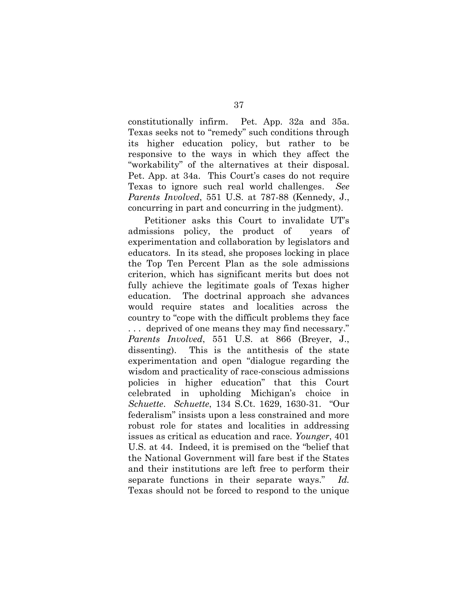constitutionally infirm. Pet. App. 32a and 35a. Texas seeks not to "remedy" such conditions through its higher education policy, but rather to be responsive to the ways in which they affect the "workability" of the alternatives at their disposal. Pet. App. at 34a. This Court's cases do not require Texas to ignore such real world challenges. *See Parents Involved*, 551 U.S. at 787-88 (Kennedy, J., concurring in part and concurring in the judgment).

Petitioner asks this Court to invalidate UT's admissions policy, the product of years of experimentation and collaboration by legislators and educators. In its stead, she proposes locking in place the Top Ten Percent Plan as the sole admissions criterion, which has significant merits but does not fully achieve the legitimate goals of Texas higher education. The doctrinal approach she advances would require states and localities across the country to "cope with the difficult problems they face . . . deprived of one means they may find necessary." *Parents Involved*, 551 U.S. at 866 (Breyer, J., dissenting). This is the antithesis of the state experimentation and open "dialogue regarding the wisdom and practicality of race-conscious admissions policies in higher education" that this Court celebrated in upholding Michigan's choice in *Schuette*. *Schuette*, 134 S.Ct. 1629, 1630-31. "Our federalism" insists upon a less constrained and more robust role for states and localities in addressing issues as critical as education and race. *Younger*, 401 U.S. at 44. Indeed, it is premised on the "belief that the National Government will fare best if the States and their institutions are left free to perform their separate functions in their separate ways." *Id.*  Texas should not be forced to respond to the unique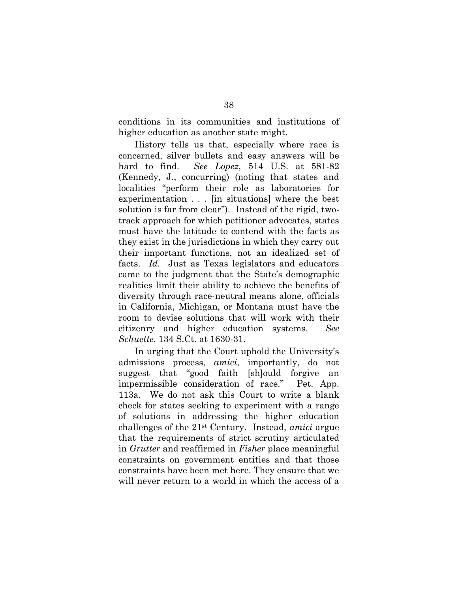conditions in its communities and institutions of higher education as another state might.

History tells us that, especially where race is concerned, silver bullets and easy answers will be hard to find. *See Lopez*, 514 U.S. at 581-82 (Kennedy, J., concurring) (noting that states and localities "perform their role as laboratories for experimentation . . . [in situations] where the best solution is far from clear"). Instead of the rigid, twotrack approach for which petitioner advocates, states must have the latitude to contend with the facts as they exist in the jurisdictions in which they carry out their important functions, not an idealized set of facts. *Id.* Just as Texas legislators and educators came to the judgment that the State's demographic realities limit their ability to achieve the benefits of diversity through race-neutral means alone, officials in California, Michigan, or Montana must have the room to devise solutions that will work with their citizenry and higher education systems. *See Schuette*, 134 S.Ct. at 1630-31.

In urging that the Court uphold the University's admissions process, *amici*, importantly, do not suggest that "good faith [sh]ould forgive an impermissible consideration of race." Pet. App. 113a. We do not ask this Court to write a blank check for states seeking to experiment with a range of solutions in addressing the higher education challenges of the 21st Century. Instead, *amici* argue that the requirements of strict scrutiny articulated in *Grutter* and reaffirmed in *Fisher* place meaningful constraints on government entities and that those constraints have been met here. They ensure that we will never return to a world in which the access of a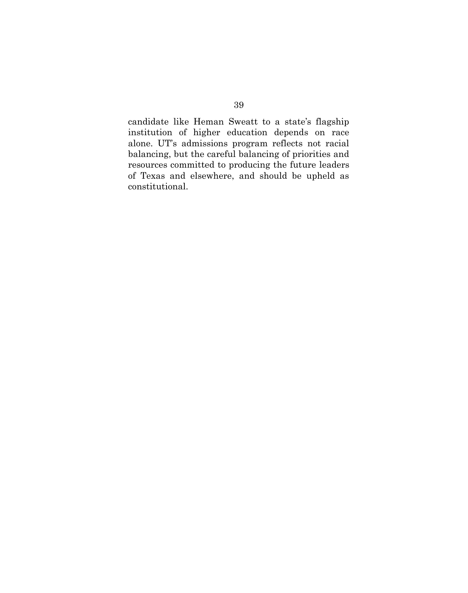candidate like Heman Sweatt to a state's flagship institution of higher education depends on race alone. UT's admissions program reflects not racial balancing, but the careful balancing of priorities and resources committed to producing the future leaders of Texas and elsewhere, and should be upheld as constitutional.